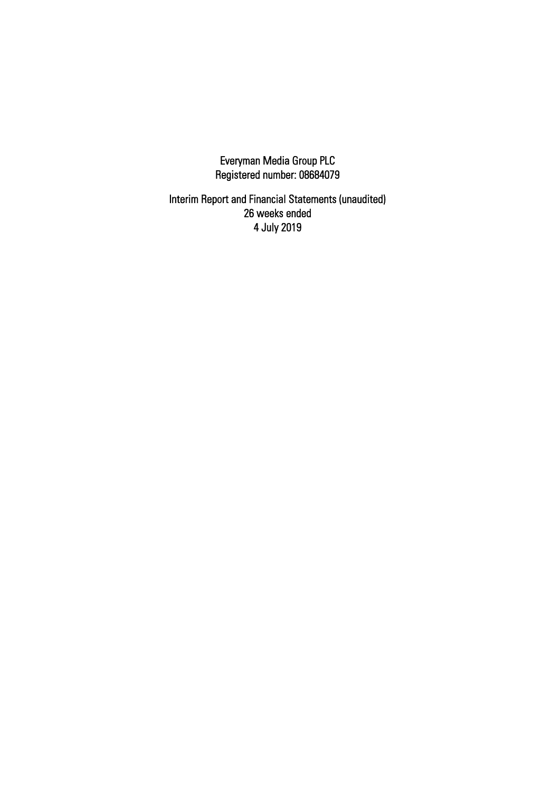Everyman Media Group PLC Registered number: 08684079

Interim Report and Financial Statements (unaudited) 26 weeks ended 4 July 2019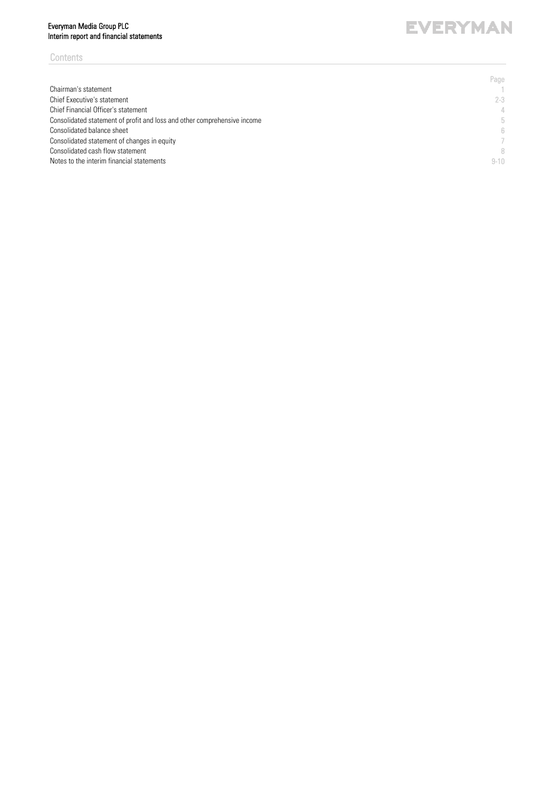# Everyman Media Group PLC Interim report and financial statements

# **Contents**

#### Page Chairman's statement  $\frac{1}{2-3}$ Chief Executive's statement Chief Financial Officer's statement 4 Consolidated statement of profit and loss and other comprehensive income 5 Consolidated balance sheet 6 Consolidated statement of changes in equity 7 Consolidated cash flow statement 8 Notes to the interim financial statements **9-10**

# **EVERYMAN**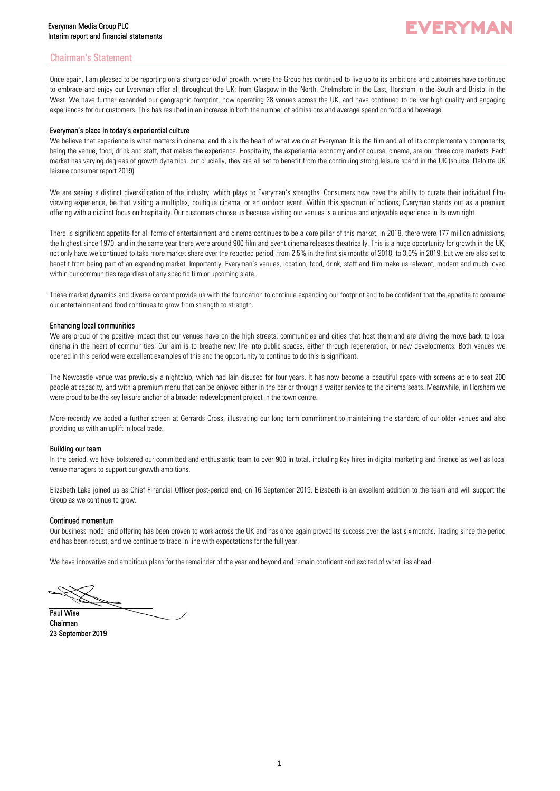# Chairman's Statement

Once again, I am pleased to be reporting on a strong period of growth, where the Group has continued to live up to its ambitions and customers have continued to embrace and enjoy our Everyman offer all throughout the UK; from Glasgow in the North, Chelmsford in the East, Horsham in the South and Bristol in the West. We have further expanded our geographic footprint, now operating 28 venues across the UK, and have continued to deliver high quality and engaging experiences for our customers. This has resulted in an increase in both the number of admissions and average spend on food and beverage.

## Everyman's place in today's experiential culture

We believe that experience is what matters in cinema, and this is the heart of what we do at Everyman. It is the film and all of its complementary components; being the venue, food, drink and staff, that makes the experience. Hospitality, the experiential economy and of course, cinema, are our three core markets. Each market has varying degrees of growth dynamics, but crucially, they are all set to benefit from the continuing strong leisure spend in the UK (source: Deloitte UK leisure consumer report 2019).

We are seeing a distinct diversification of the industry, which plays to Everyman's strengths. Consumers now have the ability to curate their individual filmviewing experience, be that visiting a multiplex, boutique cinema, or an outdoor event. Within this spectrum of options, Everyman stands out as a premium offering with a distinct focus on hospitality. Our customers choose us because visiting our venues is a unique and enjoyable experience in its own right.

There is significant appetite for all forms of entertainment and cinema continues to be a core pillar of this market. In 2018, there were 177 million admissions, the highest since 1970, and in the same year there were around 900 film and event cinema releases theatrically. This is a huge opportunity for growth in the UK; not only have we continued to take more market share over the reported period, from 2.5% in the first six months of 2018, to 3.0% in 2019, but we are also set to benefit from being part of an expanding market. Importantly, Everyman's venues, location, food, drink, staff and film make us relevant, modern and much loved within our communities regardless of any specific film or upcoming slate.

These market dynamics and diverse content provide us with the foundation to continue expanding our footprint and to be confident that the appetite to consume our entertainment and food continues to grow from strength to strength.

## Enhancing local communities

We are proud of the positive impact that our venues have on the high streets, communities and cities that host them and are driving the move back to local cinema in the heart of communities. Our aim is to breathe new life into public spaces, either through regeneration, or new developments. Both venues we opened in this period were excellent examples of this and the opportunity to continue to do this is significant.

The Newcastle venue was previously a nightclub, which had lain disused for four years. It has now become a beautiful space with screens able to seat 200 people at capacity, and with a premium menu that can be enjoyed either in the bar or through a waiter service to the cinema seats. Meanwhile, in Horsham we were proud to be the key leisure anchor of a broader redevelopment project in the town centre.

More recently we added a further screen at Gerrards Cross, illustrating our long term commitment to maintaining the standard of our older venues and also providing us with an uplift in local trade.

## Building our team

In the period, we have bolstered our committed and enthusiastic team to over 900 in total, including key hires in digital marketing and finance as well as local venue managers to support our growth ambitions.

Elizabeth Lake joined us as Chief Financial Officer post-period end, on 16 September 2019. Elizabeth is an excellent addition to the team and will support the Group as we continue to grow.

#### Continued momentum

Our business model and offering has been proven to work across the UK and has once again proved its success over the last six months. Trading since the period end has been robust, and we continue to trade in line with expectations for the full year.

We have innovative and ambitious plans for the remainder of the year and beyond and remain confident and excited of what lies ahead.

Paul Wise

Chairman 23 September 2019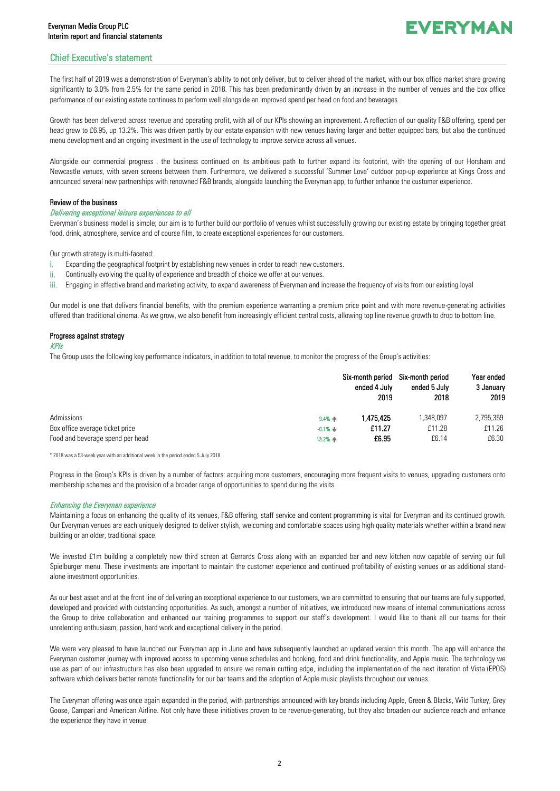# Chief Executive's statement

The first half of 2019 was a demonstration of Everyman's ability to not only deliver, but to deliver ahead of the market, with our box office market share growing significantly to 3.0% from 2.5% for the same period in 2018. This has been predominantly driven by an increase in the number of venues and the box office performance of our existing estate continues to perform well alongside an improved spend per head on food and beverages.

Growth has been delivered across revenue and operating profit, with all of our KPIs showing an improvement. A reflection of our quality F&B offering, spend per head grew to £6.95, up 13.2%. This was driven partly by our estate expansion with new venues having larger and better equipped bars, but also the continued menu development and an ongoing investment in the use of technology to improve service across all venues.

Alongside our commercial progress , the business continued on its ambitious path to further expand its footprint, with the opening of our Horsham and Newcastle venues, with seven screens between them. Furthermore, we delivered a successful 'Summer Love' outdoor pop-up experience at Kings Cross and announced several new partnerships with renowned F&B brands, alongside launching the Everyman app, to further enhance the customer experience.

## Review of the business

#### Delivering exceptional leisure experiences to all

Everyman's business model is simple; our aim is to further build our portfolio of venues whilst successfully growing our existing estate by bringing together great food, drink, atmosphere, service and of course film, to create exceptional experiences for our customers.

Our growth strategy is multi-faceted:

- i. Expanding the geographical footprint by establishing new venues in order to reach new customers.
- ii. Continually evolving the quality of experience and breadth of choice we offer at our venues.
- iii. Engaging in effective brand and marketing activity, to expand awareness of Everyman and increase the frequency of visits from our existing loyal

Our model is one that delivers financial benefits, with the premium experience warranting a premium price point and with more revenue-generating activities offered than traditional cinema. As we grow, we also benefit from increasingly efficient central costs, allowing top line revenue growth to drop to bottom line.

## Progress against strategy

#### KPIs

The Group uses the following key performance indicators, in addition to total revenue, to monitor the progress of the Group's activities:

|                                  |               | ended 4 July<br>2019 | Six-month period Six-month period<br>ended 5 July<br>2018 | Year ended<br>3 January<br>2019 |
|----------------------------------|---------------|----------------------|-----------------------------------------------------------|---------------------------------|
| Admissions                       | $9.4%$ $\Phi$ | 1.475.425            | 1.348.097                                                 | 2,795,359                       |
| Box office average ticket price  | $-0.1\%$      | £11.27               | £11.28                                                    | £11.26                          |
| Food and beverage spend per head | 13.2% 个       | £6.95                | £6.14                                                     | £6.30                           |

\* 2018 was a 53-week year with an additional week in the period ended 5 July 2018.

Progress in the Group's KPIs is driven by a number of factors: acquiring more customers, encouraging more frequent visits to venues, upgrading customers onto membership schemes and the provision of a broader range of opportunities to spend during the visits.

#### Enhancing the Everyman experience

Maintaining a focus on enhancing the quality of its venues, F&B offering, staff service and content programming is vital for Everyman and its continued growth. Our Everyman venues are each uniquely designed to deliver stylish, welcoming and comfortable spaces using high quality materials whether within a brand new building or an older, traditional space.

We invested £1m building a completely new third screen at Gerrards Cross along with an expanded bar and new kitchen now capable of serving our full Spielburger menu. These investments are important to maintain the customer experience and continued profitability of existing venues or as additional standalone investment opportunities.

As our best asset and at the front line of delivering an exceptional experience to our customers, we are committed to ensuring that our teams are fully supported, developed and provided with outstanding opportunities. As such, amongst a number of initiatives, we introduced new means of internal communications across the Group to drive collaboration and enhanced our training programmes to support our staff's development. I would like to thank all our teams for their unrelenting enthusiasm, passion, hard work and exceptional delivery in the period.

We were very pleased to have launched our Everyman app in June and have subsequently launched an updated version this month. The app will enhance the Everyman customer journey with improved access to upcoming venue schedules and booking, food and drink functionality, and Apple music. The technology we use as part of our infrastructure has also been upgraded to ensure we remain cutting edge, including the implementation of the next iteration of Vista (EPOS) software which delivers better remote functionality for our bar teams and the adoption of Apple music playlists throughout our venues.

The Everyman offering was once again expanded in the period, with partnerships announced with key brands including Apple, Green & Blacks, Wild Turkey, Grey Goose, Campari and American Airline. Not only have these initiatives proven to be revenue-generating, but they also broaden our audience reach and enhance the experience they have in venue.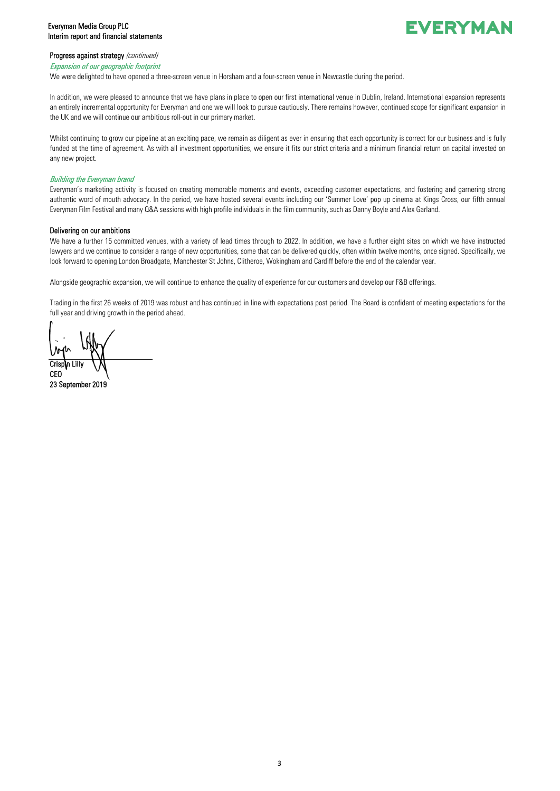# Everyman Media Group PLC Interim report and financial statements

# **EVERYMAN**

## Progress against strategy (continued)

#### Expansion of our geographic footprint

We were delighted to have opened a three-screen venue in Horsham and a four-screen venue in Newcastle during the period.

In addition, we were pleased to announce that we have plans in place to open our first international venue in Dublin, Ireland. International expansion represents an entirely incremental opportunity for Everyman and one we will look to pursue cautiously. There remains however, continued scope for significant expansion in the UK and we will continue our ambitious roll-out in our primary market.

Whilst continuing to grow our pipeline at an exciting pace, we remain as diligent as ever in ensuring that each opportunity is correct for our business and is fully funded at the time of agreement. As with all investment opportunities, we ensure it fits our strict criteria and a minimum financial return on capital invested on any new project.

## Building the Everyman brand

Everyman's marketing activity is focused on creating memorable moments and events, exceeding customer expectations, and fostering and garnering strong authentic word of mouth advocacy. In the period, we have hosted several events including our 'Summer Love' pop up cinema at Kings Cross, our fifth annual Everyman Film Festival and many Q&A sessions with high profile individuals in the film community, such as Danny Boyle and Alex Garland.

## Delivering on our ambitions

We have a further 15 committed venues, with a variety of lead times through to 2022. In addition, we have a further eight sites on which we have instructed lawyers and we continue to consider a range of new opportunities, some that can be delivered quickly, often within twelve months, once signed. Specifically, we look forward to opening London Broadgate, Manchester St Johns, Clitheroe, Wokingham and Cardiff before the end of the calendar year.

Alongside geographic expansion, we will continue to enhance the quality of experience for our customers and develop our F&B offerings.

Trading in the first 26 weeks of 2019 was robust and has continued in line with expectations post period. The Board is confident of meeting expectations for the full year and driving growth in the period ahead.

Crisp**i**n Lilly CEO 23 September 2019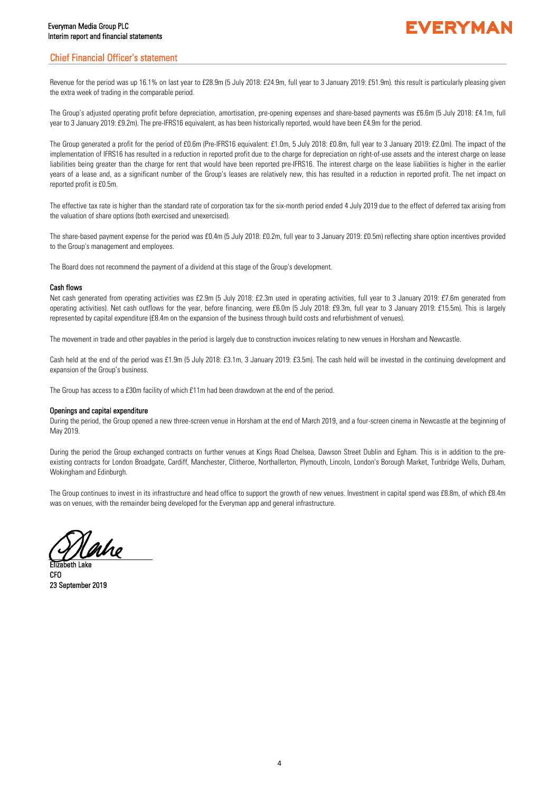# Chief Financial Officer's statement

Revenue for the period was up 16.1% on last year to £28.9m (5 July 2018: £24.9m, full year to 3 January 2019: £51.9m). this result is particularly pleasing given the extra week of trading in the comparable period.

The Group's adjusted operating profit before depreciation, amortisation, pre-opening expenses and share-based payments was £6.6m (5 July 2018: £4.1m, full year to 3 January 2019: £9.2m). The pre-IFRS16 equivalent, as has been historically reported, would have been £4.9m for the period.

The Group generated a profit for the period of £0.6m (Pre-IFRS16 equivalent: £1.0m, 5 July 2018: £0.8m, full year to 3 January 2019: £2.0m). The impact of the implementation of IFRS16 has resulted in a reduction in reported profit due to the charge for depreciation on right-of-use assets and the interest charge on lease liabilities being greater than the charge for rent that would have been reported pre-IFRS16. The interest charge on the lease liabilities is higher in the earlier years of a lease and, as a significant number of the Group's leases are relatively new, this has resulted in a reduction in reported profit. The net impact on reported profit is £0.5m.

The effective tax rate is higher than the standard rate of corporation tax for the six-month period ended 4 July 2019 due to the effect of deferred tax arising from the valuation of share options (both exercised and unexercised).

The share-based payment expense for the period was £0.4m (5 July 2018: £0.2m, full year to 3 January 2019: £0.5m) reflecting share option incentives provided to the Group's management and employees.

The Board does not recommend the payment of a dividend at this stage of the Group's development.

## Cash flows

Net cash generated from operating activities was £2.9m (5 July 2018: £2.3m used in operating activities, full year to 3 January 2019: £7.6m generated from operating activities). Net cash outflows for the year, before financing, were £6.0m (5 July 2018: £9.3m, full year to 3 January 2019: £15.5m). This is largely represented by capital expenditure (£8.4m on the expansion of the business through build costs and refurbishment of venues).

The movement in trade and other payables in the period is largely due to construction invoices relating to new venues in Horsham and Newcastle.

Cash held at the end of the period was £1.9m (5 July 2018: £3.1m, 3 January 2019: £3.5m). The cash held will be invested in the continuing development and expansion of the Group's business.

The Group has access to a £30m facility of which £11m had been drawdown at the end of the period.

## Openings and capital expenditure

During the period, the Group opened a new three-screen venue in Horsham at the end of March 2019, and a four-screen cinema in Newcastle at the beginning of May 2019.

During the period the Group exchanged contracts on further venues at Kings Road Chelsea, Dawson Street Dublin and Egham. This is in addition to the preexisting contracts for London Broadgate, Cardiff, Manchester, Clitheroe, Northallerton, Plymouth, Lincoln, London's Borough Market, Tunbridge Wells, Durham, Wokingham and Edinburgh.

The Group continues to invest in its infrastructure and head office to support the growth of new venues. Investment in capital spend was £8.8m, of which £8.4m was on venues, with the remainder being developed for the Everyman app and general infrastructure.

aho

Elizabeth Lake CFO 23 September 2019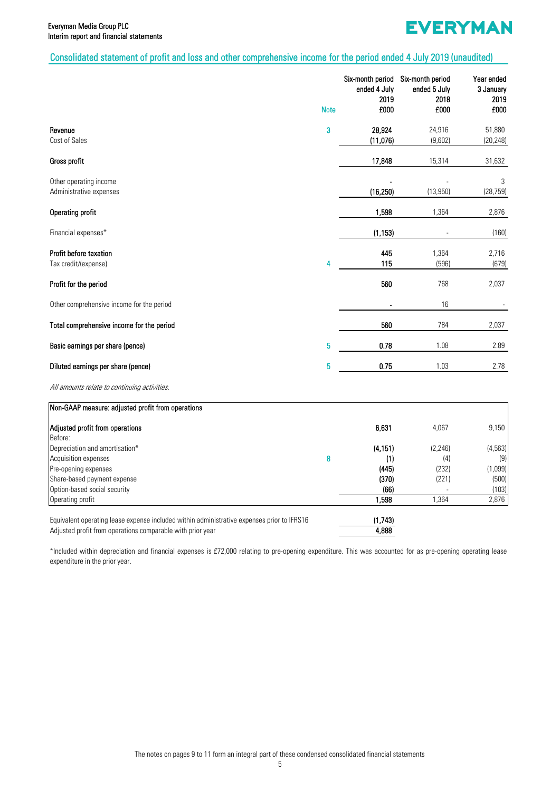# Consolidated statement of profit and loss and other comprehensive income for the period ended 4 July 2019 (unaudited)

|                                                                                | <b>Note</b> | Six-month period Six-month period<br>ended 4 July<br>2019<br>£000 | ended 5 July<br>2018<br>£000 | Year ended<br>3 January<br>2019<br>£000 |
|--------------------------------------------------------------------------------|-------------|-------------------------------------------------------------------|------------------------------|-----------------------------------------|
| Revenue<br>Cost of Sales                                                       | 3           | 28,924<br>(11,076)                                                | 24,916<br>(9,602)            | 51,880<br>(20, 248)                     |
| Gross profit                                                                   |             | 17,848                                                            | 15,314                       | 31,632                                  |
| Other operating income<br>Administrative expenses                              |             | (16, 250)                                                         | (13,950)                     | 3<br>(28, 759)                          |
| <b>Operating profit</b>                                                        |             | 1,598                                                             | 1,364                        | 2,876                                   |
| Financial expenses*                                                            |             | (1, 153)                                                          |                              | (160)                                   |
| Profit before taxation<br>Tax credit/(expense)                                 | 4           | 445<br>115                                                        | 1,364<br>(596)               | 2,716<br>(679)                          |
| Profit for the period                                                          |             | 560                                                               | 768                          | 2,037                                   |
| Other comprehensive income for the period                                      |             |                                                                   | 16                           |                                         |
| Total comprehensive income for the period                                      |             | 560                                                               | 784                          | 2,037                                   |
| Basic earnings per share (pence)                                               | 5           | 0.78                                                              | 1.08                         | 2.89                                    |
| Diluted earnings per share (pence)                                             | 5           | 0.75                                                              | 1.03                         | 2.78                                    |
| All amounts relate to continuing activities.                                   |             |                                                                   |                              |                                         |
| Non-GAAP measure: adjusted profit from operations                              |             |                                                                   |                              |                                         |
| Adjusted profit from operations<br>Before:                                     |             | 6,631                                                             | 4,067                        | 9,150                                   |
| Depreciation and amortisation*<br>Acquisition expenses<br>Pre-opening expenses | 8           | (4, 151)<br>(1)<br>(445)                                          | (2, 246)<br>(4)<br>(232)     | (4, 563)<br>(9)<br>(1,099)              |

| Share-based payment expense                                                                | (370)   | (221) | (500) |
|--------------------------------------------------------------------------------------------|---------|-------|-------|
| Option-based social security                                                               | (66)    |       | (103) |
| Operating profit                                                                           | 1.598   | .364  | 2.876 |
| Equivalent operating lease expense included within administrative expenses prior to IFRS16 | (1.743) |       |       |
| Adjusted profit from operations comparable with prior year                                 | 4.888   |       |       |

\*Included within depreciation and financial expenses is £72,000 relating to pre-opening expenditure. This was accounted for as pre-opening operating lease expenditure in the prior year.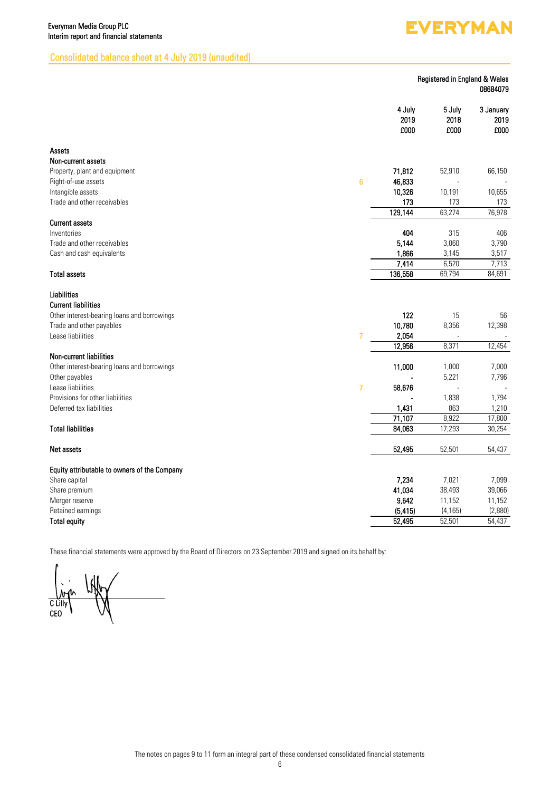# **EVERYMAN**

# Consolidated balance sheet at 4 July 2019 (unaudited)

| Registered in England & Wales |  |          |
|-------------------------------|--|----------|
|                               |  | 08684079 |

| Assets<br>Non-current assets<br>71,812<br>Property, plant and equipment<br>52,910<br>66,150<br>$6\phantom{1}6$<br>46,833<br>Right-of-use assets<br>10,326<br>Intangible assets<br>10,191<br>10,655<br>Trade and other receivables<br>173<br>173<br>173<br>129,144<br>63,274<br>76,978<br><b>Current assets</b><br>404<br>315<br>Inventories<br>406<br>Trade and other receivables<br>5.144<br>3,060<br>3,790<br>1,866<br>Cash and cash equivalents<br>3,145<br>3,517<br>7,414<br>6,520<br>7,713<br>136,558<br>69,794<br><b>Total assets</b><br>84,691<br><b>Liabilities</b><br><b>Current liabilities</b><br>122<br>Other interest-bearing loans and borrowings<br>15<br>56<br>10,780<br>Trade and other payables<br>8,356<br>12,398<br>Lease liabilities<br>$\overline{7}$<br>2,054<br>12,956<br>8,371<br>12,454<br><b>Non-current liabilities</b><br>11,000<br>Other interest-bearing loans and borrowings<br>1,000<br>7,000<br>Other payables<br>5,221<br>7,796<br>$\overline{7}$<br>Lease liabilities<br>58,676<br>Provisions for other liabilities<br>1,838<br>1,794<br>Deferred tax liabilities<br>1,431<br>863<br>1,210<br>71,107<br>8,922<br>17,800<br><b>Total liabilities</b><br>84,063<br>17,293<br>30,254<br>52,495<br>52,501<br>54,437<br>Net assets<br>Equity attributable to owners of the Company<br>Share capital<br>7,234<br>7,021<br>7,099<br>41,034<br>38,493<br>39,066<br>Share premium<br>9,642<br>Merger reserve<br>11,152<br>11,152<br>(5, 415)<br>Retained earnings<br>(4, 165)<br>(2,880)<br>52,495<br><b>Total equity</b><br>52,501<br>54,437 |  | 4 July<br>2019<br>£000 | 5 July<br>2018<br>£000 | 3 January<br>2019<br>£000 |
|--------------------------------------------------------------------------------------------------------------------------------------------------------------------------------------------------------------------------------------------------------------------------------------------------------------------------------------------------------------------------------------------------------------------------------------------------------------------------------------------------------------------------------------------------------------------------------------------------------------------------------------------------------------------------------------------------------------------------------------------------------------------------------------------------------------------------------------------------------------------------------------------------------------------------------------------------------------------------------------------------------------------------------------------------------------------------------------------------------------------------------------------------------------------------------------------------------------------------------------------------------------------------------------------------------------------------------------------------------------------------------------------------------------------------------------------------------------------------------------------------------------------------------------------------------------------------|--|------------------------|------------------------|---------------------------|
|                                                                                                                                                                                                                                                                                                                                                                                                                                                                                                                                                                                                                                                                                                                                                                                                                                                                                                                                                                                                                                                                                                                                                                                                                                                                                                                                                                                                                                                                                                                                                                          |  |                        |                        |                           |
|                                                                                                                                                                                                                                                                                                                                                                                                                                                                                                                                                                                                                                                                                                                                                                                                                                                                                                                                                                                                                                                                                                                                                                                                                                                                                                                                                                                                                                                                                                                                                                          |  |                        |                        |                           |
|                                                                                                                                                                                                                                                                                                                                                                                                                                                                                                                                                                                                                                                                                                                                                                                                                                                                                                                                                                                                                                                                                                                                                                                                                                                                                                                                                                                                                                                                                                                                                                          |  |                        |                        |                           |
|                                                                                                                                                                                                                                                                                                                                                                                                                                                                                                                                                                                                                                                                                                                                                                                                                                                                                                                                                                                                                                                                                                                                                                                                                                                                                                                                                                                                                                                                                                                                                                          |  |                        |                        |                           |
|                                                                                                                                                                                                                                                                                                                                                                                                                                                                                                                                                                                                                                                                                                                                                                                                                                                                                                                                                                                                                                                                                                                                                                                                                                                                                                                                                                                                                                                                                                                                                                          |  |                        |                        |                           |
|                                                                                                                                                                                                                                                                                                                                                                                                                                                                                                                                                                                                                                                                                                                                                                                                                                                                                                                                                                                                                                                                                                                                                                                                                                                                                                                                                                                                                                                                                                                                                                          |  |                        |                        |                           |
|                                                                                                                                                                                                                                                                                                                                                                                                                                                                                                                                                                                                                                                                                                                                                                                                                                                                                                                                                                                                                                                                                                                                                                                                                                                                                                                                                                                                                                                                                                                                                                          |  |                        |                        |                           |
|                                                                                                                                                                                                                                                                                                                                                                                                                                                                                                                                                                                                                                                                                                                                                                                                                                                                                                                                                                                                                                                                                                                                                                                                                                                                                                                                                                                                                                                                                                                                                                          |  |                        |                        |                           |
|                                                                                                                                                                                                                                                                                                                                                                                                                                                                                                                                                                                                                                                                                                                                                                                                                                                                                                                                                                                                                                                                                                                                                                                                                                                                                                                                                                                                                                                                                                                                                                          |  |                        |                        |                           |
|                                                                                                                                                                                                                                                                                                                                                                                                                                                                                                                                                                                                                                                                                                                                                                                                                                                                                                                                                                                                                                                                                                                                                                                                                                                                                                                                                                                                                                                                                                                                                                          |  |                        |                        |                           |
|                                                                                                                                                                                                                                                                                                                                                                                                                                                                                                                                                                                                                                                                                                                                                                                                                                                                                                                                                                                                                                                                                                                                                                                                                                                                                                                                                                                                                                                                                                                                                                          |  |                        |                        |                           |
|                                                                                                                                                                                                                                                                                                                                                                                                                                                                                                                                                                                                                                                                                                                                                                                                                                                                                                                                                                                                                                                                                                                                                                                                                                                                                                                                                                                                                                                                                                                                                                          |  |                        |                        |                           |
|                                                                                                                                                                                                                                                                                                                                                                                                                                                                                                                                                                                                                                                                                                                                                                                                                                                                                                                                                                                                                                                                                                                                                                                                                                                                                                                                                                                                                                                                                                                                                                          |  |                        |                        |                           |
|                                                                                                                                                                                                                                                                                                                                                                                                                                                                                                                                                                                                                                                                                                                                                                                                                                                                                                                                                                                                                                                                                                                                                                                                                                                                                                                                                                                                                                                                                                                                                                          |  |                        |                        |                           |
|                                                                                                                                                                                                                                                                                                                                                                                                                                                                                                                                                                                                                                                                                                                                                                                                                                                                                                                                                                                                                                                                                                                                                                                                                                                                                                                                                                                                                                                                                                                                                                          |  |                        |                        |                           |
|                                                                                                                                                                                                                                                                                                                                                                                                                                                                                                                                                                                                                                                                                                                                                                                                                                                                                                                                                                                                                                                                                                                                                                                                                                                                                                                                                                                                                                                                                                                                                                          |  |                        |                        |                           |
|                                                                                                                                                                                                                                                                                                                                                                                                                                                                                                                                                                                                                                                                                                                                                                                                                                                                                                                                                                                                                                                                                                                                                                                                                                                                                                                                                                                                                                                                                                                                                                          |  |                        |                        |                           |
|                                                                                                                                                                                                                                                                                                                                                                                                                                                                                                                                                                                                                                                                                                                                                                                                                                                                                                                                                                                                                                                                                                                                                                                                                                                                                                                                                                                                                                                                                                                                                                          |  |                        |                        |                           |
|                                                                                                                                                                                                                                                                                                                                                                                                                                                                                                                                                                                                                                                                                                                                                                                                                                                                                                                                                                                                                                                                                                                                                                                                                                                                                                                                                                                                                                                                                                                                                                          |  |                        |                        |                           |
|                                                                                                                                                                                                                                                                                                                                                                                                                                                                                                                                                                                                                                                                                                                                                                                                                                                                                                                                                                                                                                                                                                                                                                                                                                                                                                                                                                                                                                                                                                                                                                          |  |                        |                        |                           |
|                                                                                                                                                                                                                                                                                                                                                                                                                                                                                                                                                                                                                                                                                                                                                                                                                                                                                                                                                                                                                                                                                                                                                                                                                                                                                                                                                                                                                                                                                                                                                                          |  |                        |                        |                           |
|                                                                                                                                                                                                                                                                                                                                                                                                                                                                                                                                                                                                                                                                                                                                                                                                                                                                                                                                                                                                                                                                                                                                                                                                                                                                                                                                                                                                                                                                                                                                                                          |  |                        |                        |                           |
|                                                                                                                                                                                                                                                                                                                                                                                                                                                                                                                                                                                                                                                                                                                                                                                                                                                                                                                                                                                                                                                                                                                                                                                                                                                                                                                                                                                                                                                                                                                                                                          |  |                        |                        |                           |
|                                                                                                                                                                                                                                                                                                                                                                                                                                                                                                                                                                                                                                                                                                                                                                                                                                                                                                                                                                                                                                                                                                                                                                                                                                                                                                                                                                                                                                                                                                                                                                          |  |                        |                        |                           |
|                                                                                                                                                                                                                                                                                                                                                                                                                                                                                                                                                                                                                                                                                                                                                                                                                                                                                                                                                                                                                                                                                                                                                                                                                                                                                                                                                                                                                                                                                                                                                                          |  |                        |                        |                           |
|                                                                                                                                                                                                                                                                                                                                                                                                                                                                                                                                                                                                                                                                                                                                                                                                                                                                                                                                                                                                                                                                                                                                                                                                                                                                                                                                                                                                                                                                                                                                                                          |  |                        |                        |                           |
|                                                                                                                                                                                                                                                                                                                                                                                                                                                                                                                                                                                                                                                                                                                                                                                                                                                                                                                                                                                                                                                                                                                                                                                                                                                                                                                                                                                                                                                                                                                                                                          |  |                        |                        |                           |
|                                                                                                                                                                                                                                                                                                                                                                                                                                                                                                                                                                                                                                                                                                                                                                                                                                                                                                                                                                                                                                                                                                                                                                                                                                                                                                                                                                                                                                                                                                                                                                          |  |                        |                        |                           |
|                                                                                                                                                                                                                                                                                                                                                                                                                                                                                                                                                                                                                                                                                                                                                                                                                                                                                                                                                                                                                                                                                                                                                                                                                                                                                                                                                                                                                                                                                                                                                                          |  |                        |                        |                           |
|                                                                                                                                                                                                                                                                                                                                                                                                                                                                                                                                                                                                                                                                                                                                                                                                                                                                                                                                                                                                                                                                                                                                                                                                                                                                                                                                                                                                                                                                                                                                                                          |  |                        |                        |                           |
|                                                                                                                                                                                                                                                                                                                                                                                                                                                                                                                                                                                                                                                                                                                                                                                                                                                                                                                                                                                                                                                                                                                                                                                                                                                                                                                                                                                                                                                                                                                                                                          |  |                        |                        |                           |
|                                                                                                                                                                                                                                                                                                                                                                                                                                                                                                                                                                                                                                                                                                                                                                                                                                                                                                                                                                                                                                                                                                                                                                                                                                                                                                                                                                                                                                                                                                                                                                          |  |                        |                        |                           |
|                                                                                                                                                                                                                                                                                                                                                                                                                                                                                                                                                                                                                                                                                                                                                                                                                                                                                                                                                                                                                                                                                                                                                                                                                                                                                                                                                                                                                                                                                                                                                                          |  |                        |                        |                           |
|                                                                                                                                                                                                                                                                                                                                                                                                                                                                                                                                                                                                                                                                                                                                                                                                                                                                                                                                                                                                                                                                                                                                                                                                                                                                                                                                                                                                                                                                                                                                                                          |  |                        |                        |                           |

These financial statements were approved by the Board of Directors on 23 September 2019 and signed on its behalf by:

C Lilly CEO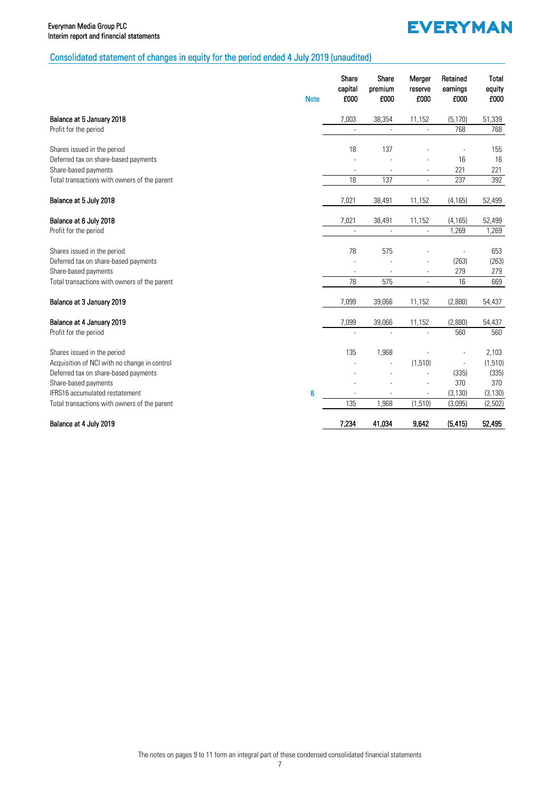# **EVERYMAN**

# Consolidated statement of changes in equity for the period ended 4 July 2019 (unaudited)

|                                              | <b>Note</b> | Share<br>capital<br>£000 | Share<br>premium<br>£000 | Merger<br>reserve<br>£000 | Retained<br>earnings<br>£000 | <b>Total</b><br>equity<br>£000 |
|----------------------------------------------|-------------|--------------------------|--------------------------|---------------------------|------------------------------|--------------------------------|
| Balance at 5 January 2018                    |             | 7,003                    | 38,354                   | 11,152                    | (5, 170)                     | 51,339                         |
| Profit for the period                        |             |                          |                          |                           | 768                          | 768                            |
| Shares issued in the period                  |             | 18                       | 137                      |                           |                              | 155                            |
| Deferred tax on share-based payments         |             |                          |                          |                           | 16                           | 16                             |
| Share-based payments                         |             |                          |                          | $\overline{\phantom{a}}$  | 221                          | 221                            |
| Total transactions with owners of the parent |             | 18                       | 137                      | $\mathcal{L}$             | 237                          | 392                            |
| Balance at 5 July 2018                       |             | 7,021                    | 38,491                   | 11,152                    | (4, 165)                     | 52,499                         |
| Balance at 6 July 2018                       |             | 7,021                    | 38,491                   | 11,152                    | (4, 165)                     | 52,499                         |
| Profit for the period                        |             | L,                       | $\overline{\phantom{a}}$ | $\overline{\phantom{a}}$  | 1,269                        | 1,269                          |
| Shares issued in the period                  |             | 78                       | 575                      |                           |                              | 653                            |
| Deferred tax on share-based payments         |             |                          |                          | ä,                        | (263)                        | (263)                          |
| Share-based payments                         |             |                          |                          |                           | 279                          | 279                            |
| Total transactions with owners of the parent |             | 78                       | 575                      | $\overline{\phantom{a}}$  | 16                           | 669                            |
| Balance at 3 January 2019                    |             | 7,099                    | 39,066                   | 11,152                    | (2,880)                      | 54,437                         |
| Balance at 4 January 2019                    |             | 7,099                    | 39,066                   | 11,152                    | (2,880)                      | 54,437                         |
| Profit for the period                        |             |                          |                          |                           | 560                          | 560                            |
| Shares issued in the period                  |             | 135                      | 1,968                    |                           |                              | 2,103                          |
| Acquisition of NCI with no change in control |             |                          |                          | (1, 510)                  | $\overline{\phantom{a}}$     | (1,510)                        |
| Deferred tax on share-based payments         |             |                          |                          |                           | (335)                        | (335)                          |
| Share-based payments                         |             |                          |                          |                           | 370                          | 370                            |
| IFRS16 accumulated restatement               | 6           |                          |                          |                           | (3, 130)                     | (3, 130)                       |
| Total transactions with owners of the parent |             | 135                      | 1,968                    | (1, 510)                  | (3,095)                      | (2,502)                        |
| Balance at 4 July 2019                       |             | 7,234                    | 41,034                   | 9,642                     | (5, 415)                     | 52,495                         |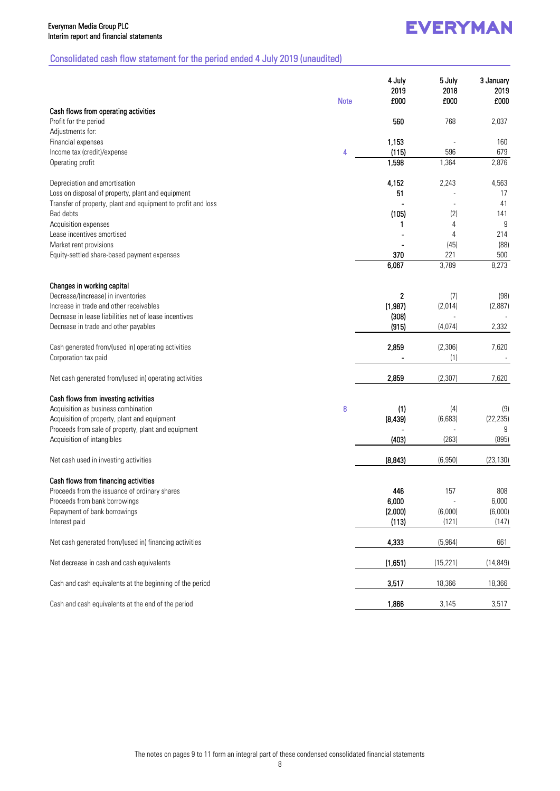# **EVERYMAN**

# Consolidated cash flow statement for the period ended 4 July 2019 (unaudited)

|                                                                  | <b>Note</b> | 4 July<br>2019<br>£000 | 5 July<br>2018<br>£000 | 3 January<br>2019<br>£000 |
|------------------------------------------------------------------|-------------|------------------------|------------------------|---------------------------|
| Cash flows from operating activities                             |             |                        |                        |                           |
| Profit for the period<br>Adjustments for:                        |             | 560                    | 768                    | 2,037                     |
| Financial expenses                                               |             | 1,153                  |                        | 160                       |
| Income tax (credit)/expense                                      | 4           | (115)                  | 596                    | 679                       |
| Operating profit                                                 |             | 1,598                  | 1,364                  | 2,876                     |
| Depreciation and amortisation                                    |             | 4,152                  | 2,243                  | 4,563                     |
| Loss on disposal of property, plant and equipment                |             | 51                     |                        | 17                        |
| Transfer of property, plant and equipment to profit and loss     |             |                        |                        | 41                        |
| Bad debts                                                        |             | (105)                  | (2)                    | 141                       |
| Acquisition expenses                                             |             | 1                      | 4                      | 9                         |
| Lease incentives amortised                                       |             |                        | 4                      | 214                       |
| Market rent provisions                                           |             |                        | (45)                   | (88)                      |
| Equity-settled share-based payment expenses                      |             | 370                    | 221                    | 500                       |
|                                                                  |             | 6,067                  | 3,789                  | 8,273                     |
| Changes in working capital<br>Decrease/(increase) in inventories |             | 2                      | (7)                    | (98)                      |
| Increase in trade and other receivables                          |             | (1,987)                | (2,014)                | (2,887)                   |
| Decrease in lease liabilities net of lease incentives            |             | (308)                  |                        |                           |
| Decrease in trade and other payables                             |             | (915)                  | (4,074)                | 2,332                     |
|                                                                  |             |                        |                        |                           |
| Cash generated from/(used in) operating activities               |             | 2,859                  | (2,306)                | 7,620                     |
| Corporation tax paid                                             |             |                        | (1)                    |                           |
| Net cash generated from/(used in) operating activities           |             | 2,859                  | (2,307)                | 7,620                     |
| Cash flows from investing activities                             |             |                        |                        |                           |
| Acquisition as business combination                              | 8           | (1)                    | (4)                    | (9)                       |
| Acquisition of property, plant and equipment                     |             | (8, 439)               | (6,683)                | (22, 235)                 |
| Proceeds from sale of property, plant and equipment              |             |                        |                        | 9                         |
| Acquisition of intangibles                                       |             | (403)                  | (263)                  | (895)                     |
| Net cash used in investing activities                            |             | (8, 843)               | (6,950)                | (23, 130)                 |
| Cash flows from financing activities                             |             |                        |                        |                           |
| Proceeds from the issuance of ordinary shares                    |             | 446                    | 157                    | 808                       |
| Proceeds from bank borrowings                                    |             | 6,000                  |                        | 6,000                     |
| Repayment of bank borrowings                                     |             | (2,000)                | (6,000)                | (6,000)                   |
| Interest paid                                                    |             | (113)                  | (121)                  | (147)                     |
| Net cash generated from/(used in) financing activities           |             | 4,333                  | (5,964)                | 661                       |
| Net decrease in cash and cash equivalents                        |             | (1,651)                | (15, 221)              | (14, 849)                 |
| Cash and cash equivalents at the beginning of the period         |             | 3,517                  | 18,366                 | 18,366                    |
| Cash and cash equivalents at the end of the period               |             | 1,866                  | 3,145                  | 3,517                     |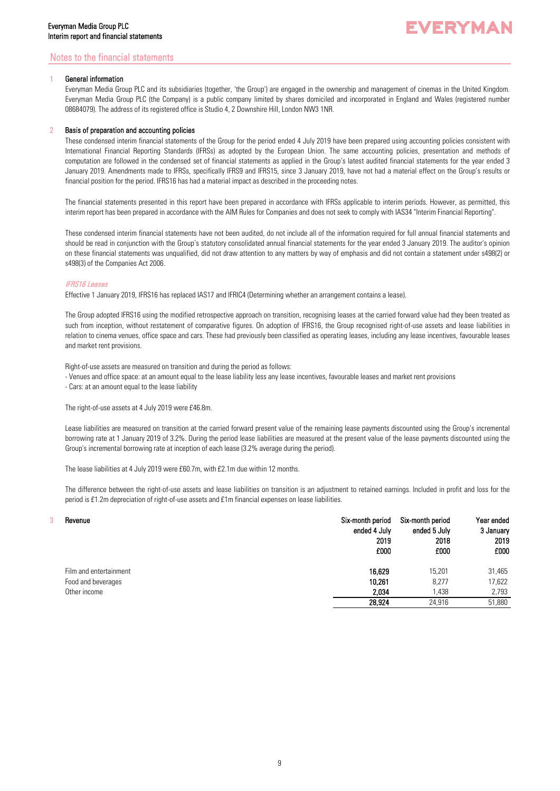# Notes to the financial statements

## General information

Everyman Media Group PLC and its subsidiaries (together, 'the Group') are engaged in the ownership and management of cinemas in the United Kingdom. Everyman Media Group PLC (the Company) is a public company limited by shares domiciled and incorporated in England and Wales (registered number 08684079). The address of its registered office is Studio 4, 2 Downshire Hill, London NW3 1NR.

## 2 Basis of preparation and accounting policies

These condensed interim financial statements of the Group for the period ended 4 July 2019 have been prepared using accounting policies consistent with International Financial Reporting Standards (IFRSs) as adopted by the European Union. The same accounting policies, presentation and methods of computation are followed in the condensed set of financial statements as applied in the Group's latest audited financial statements for the year ended 3 January 2019. Amendments made to IFRSs, specifically IFRS9 and IFRS15, since 3 January 2019, have not had a material effect on the Group's results or financial position for the period. IFRS16 has had a material impact as described in the proceeding notes.

The financial statements presented in this report have been prepared in accordance with IFRSs applicable to interim periods. However, as permitted, this interim report has been prepared in accordance with the AIM Rules for Companies and does not seek to comply with IAS34 "Interim Financial Reporting".

These condensed interim financial statements have not been audited, do not include all of the information required for full annual financial statements and should be read in conjunction with the Group's statutory consolidated annual financial statements for the year ended 3 January 2019. The auditor's opinion on these financial statements was unqualified, did not draw attention to any matters by way of emphasis and did not contain a statement under s498(2) or s498(3) of the Companies Act 2006.

## IFRS16 Leases

Effective 1 January 2019, IFRS16 has replaced IAS17 and IFRIC4 (Determining whether an arrangement contains a lease).

The Group adopted IFRS16 using the modified retrospective approach on transition, recognising leases at the carried forward value had they been treated as such from inception, without restatement of comparative figures. On adoption of IFRS16, the Group recognised right-of-use assets and lease liabilities in relation to cinema venues, office space and cars. These had previously been classified as operating leases, including any lease incentives, favourable leases and market rent provisions.

Right-of-use assets are measured on transition and during the period as follows:

- Venues and office space: at an amount equal to the lease liability less any lease incentives, favourable leases and market rent provisions

- Cars: at an amount equal to the lease liability

The right-of-use assets at 4 July 2019 were £46.8m.

Lease liabilities are measured on transition at the carried forward present value of the remaining lease payments discounted using the Group's incremental borrowing rate at 1 January 2019 of 3.2%. During the period lease liabilities are measured at the present value of the lease payments discounted using the Group's incremental borrowing rate at inception of each lease (3.2% average during the period).

The lease liabilities at 4 July 2019 were £60.7m, with £2.1m due within 12 months.

The difference between the right-of-use assets and lease liabilities on transition is an adjustment to retained earnings. Included in profit and loss for the period is £1.2m depreciation of right-of-use assets and £1m financial expenses on lease liabilities.

| Revenue                | Six-month period<br>ended 4 July<br>2019<br>£000 | Six-month period<br>ended 5 July<br>2018<br>£000 | Year ended<br>3 January<br>2019<br>£000 |
|------------------------|--------------------------------------------------|--------------------------------------------------|-----------------------------------------|
| Film and entertainment | 16,629                                           | 15,201                                           | 31,465                                  |
| Food and beverages     | 10,261                                           | 8,277                                            | 17,622                                  |
| Other income           | 2.034                                            | 1,438                                            | 2,793                                   |
|                        | 28.924                                           | 24,916                                           | 51,880                                  |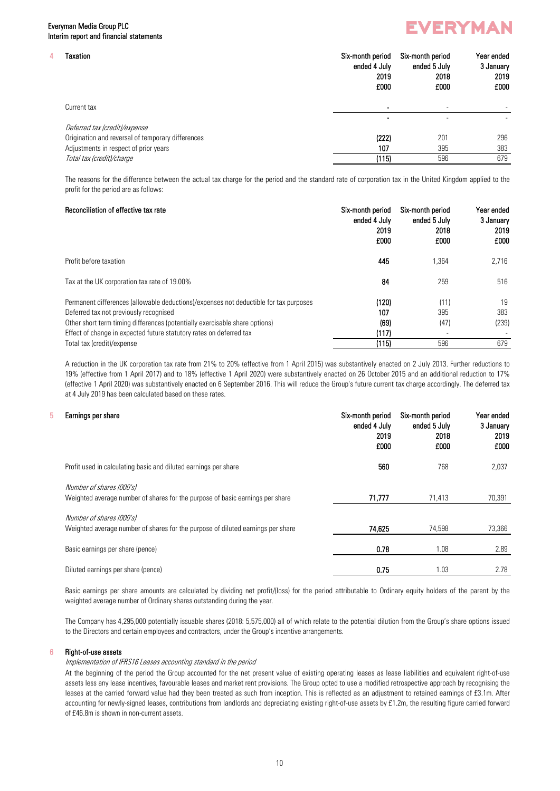# Everyman Media Group PLC Interim report and financial statements

# **EVERYMAN**

| Taxation                                          | Six-month period<br>ended 4 July<br>2019<br>£000 | Six-month period<br>ended 5 July<br>2018<br>£000 | Year ended<br>3 January<br>2019<br>£000 |
|---------------------------------------------------|--------------------------------------------------|--------------------------------------------------|-----------------------------------------|
| Current tax                                       |                                                  | $\overline{\phantom{a}}$                         |                                         |
|                                                   |                                                  | ۰                                                |                                         |
| Deferred tax (credit)/expense                     |                                                  |                                                  |                                         |
| Origination and reversal of temporary differences | (222)                                            | 201                                              | 296                                     |
| Adjustments in respect of prior years             | 107                                              | 395                                              | 383                                     |
| Total tax (credit)/charge                         | (115)                                            | 596                                              | 679                                     |
|                                                   |                                                  |                                                  |                                         |

The reasons for the difference between the actual tax charge for the period and the standard rate of corporation tax in the United Kingdom applied to the profit for the period are as follows:

# Reconciliation of effective tax rate Six-month period Six-month period Six-month period Year ended ended 4 July ended 5 July 3 January 2019 2018 2019 £000 £000 £000 Profit before taxation and the set of the set of the set of the set of the set of the set of the set of the set of the set of the set of the set of the set of the set of the set of the set of the set of the set of the set Tax at the UK corporation tax rate of 19.00% 84 259 516 Permanent differences (allowable deductions)/expenses not deductible for tax purposes (120) (120) (11) 19 Deferred tax not previously recognised 107 383 Other short term timing differences (potentially exercisable share options) (69) (47) (239) Effect of change in expected future statutory rates on deferred tax (117) Total tax (credit)/expense (115) 596 679

A reduction in the UK corporation tax rate from 21% to 20% (effective from 1 April 2015) was substantively enacted on 2 July 2013. Further reductions to 19% (effective from 1 April 2017) and to 18% (effective 1 April 2020) were substantively enacted on 26 October 2015 and an additional reduction to 17% (effective 1 April 2020) was substantively enacted on 6 September 2016. This will reduce the Group's future current tax charge accordingly. The deferred tax at 4 July 2019 has been calculated based on these rates.

# 5 Earnings per share Six-month period Six-month period Six-month period Six-month period Year ended *X6A2TX6A3TX6A4T*

|                                                                                                             | ended 4 July<br>2019<br>£000 | ended 5 July<br>2018<br>£000 | 3 January<br>2019<br>£000 |
|-------------------------------------------------------------------------------------------------------------|------------------------------|------------------------------|---------------------------|
| Profit used in calculating basic and diluted earnings per share                                             | 560                          | 768                          | 2,037                     |
| Number of shares (000's)<br>Weighted average number of shares for the purpose of basic earnings per share   | 71,777                       | 71,413                       | 70,391                    |
| Number of shares (000's)<br>Weighted average number of shares for the purpose of diluted earnings per share | 74,625                       | 74,598                       | 73,366                    |
| Basic earnings per share (pence)                                                                            | 0.78                         | 1.08                         | 2.89                      |
| Diluted earnings per share (pence)                                                                          | 0.75                         | 1.03                         | 2.78                      |

Basic earnings per share amounts are calculated by dividing net profit/(loss) for the period attributable to Ordinary equity holders of the parent by the weighted average number of Ordinary shares outstanding during the year.

The Company has 4,295,000 potentially issuable shares (2018: 5,575,000) all of which relate to the potential dilution from the Group's share options issued to the Directors and certain employees and contractors, under the Group's incentive arrangements.

## 6 Right-of-use assets

# Implementation of IFRS16 Leases accounting standard in the period

At the beginning of the period the Group accounted for the net present value of existing operating leases as lease liabilities and equivalent right-of-use assets less any lease incentives, favourable leases and market rent provisions. The Group opted to use a modified retrospective approach by recognising the leases at the carried forward value had they been treated as such from inception. This is reflected as an adjustment to retained earnings of £3.1m. After accounting for newly-signed leases, contributions from landlords and depreciating existing right-of-use assets by £1.2m, the resulting figure carried forward of £46.8m is shown in non-current assets.